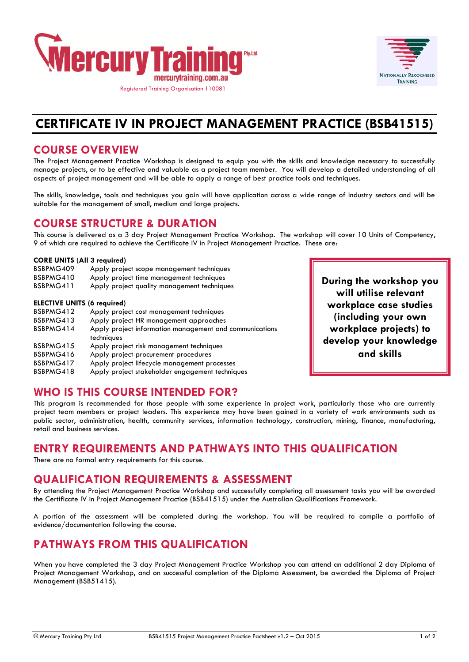



# **CERTIFICATE IV IN PROJECT MANAGEMENT PRACTICE (BSB41515)**

#### **COURSE OVERVIEW**

The Project Management Practice Workshop is designed to equip you with the skills and knowledge necessary to successfully manage projects, or to be effective and valuable as a project team member. You will develop a detailed understanding of all aspects of project management and will be able to apply a range of best practice tools and techniques.

The skills, knowledge, tools and techniques you gain will have application across a wide range of industry sectors and will be suitable for the management of small, medium and large projects.

## **COURSE STRUCTURE & DURATION**

This course is delivered as a 3 day Project Management Practice Workshop. The workshop will cover 10 Units of Competency, 9 of which are required to achieve the Certificate IV in Project Management Practice. These are:

#### **CORE UNITS (All 3 required)**

| BSBPMG409<br>BSBPMG410             | Apply project scope management techniques<br>Apply project time management techniques |
|------------------------------------|---------------------------------------------------------------------------------------|
| BSBPMG411                          | Apply project quality management techniques                                           |
| <b>ELECTIVE UNITS (6 required)</b> |                                                                                       |
| BSBPMG412                          | Apply project cost management techniques                                              |
| BSBPMG413                          | Apply project HR management approaches                                                |
| BSBPMG414                          | Apply project information management and communications<br>techniques                 |
| BSBPMG415                          | Apply project risk management techniques                                              |
| BSBPMG416                          | Apply project procurement procedures                                                  |
| BSBPMG417                          | Apply project lifecycle management processes                                          |

BSBPMG418 Apply project stakeholder engagement techniques

## **WHO IS THIS COURSE INTENDED FOR?**

This program is recommended for those people with some experience in project work, particularly those who are currently project team members or project leaders. This experience may have been gained in a variety of work environments such as public sector, administration, health, community services, information technology, construction, mining, finance, manufacturing, retail and business services.

#### **ENTRY REQUIREMENTS AND PATHWAYS INTO THIS QUALIFICATION**

There are no formal entry requirements for this course.

## **QUALIFICATION REQUIREMENTS & ASSESSMENT**

By attending the Project Management Practice Workshop and successfully completing all assessment tasks you will be awarded the Certificate IV in Project Management Practice (BSB41515) under the Australian Qualifications Framework.

A portion of the assessment will be completed during the workshop. You will be required to compile a portfolio of evidence/documentation following the course.

## **PATHWAYS FROM THIS QUALIFICATION**

When you have completed the 3 day Project Management Practice Workshop you can attend an additional 2 day Diploma of Project Management Workshop, and on successful completion of the Diploma Assessment, be awarded the Diploma of Project Management (BSB51415).

**During the workshop you will utilise relevant workplace case studies (including your own workplace projects) to develop your knowledge and skills**